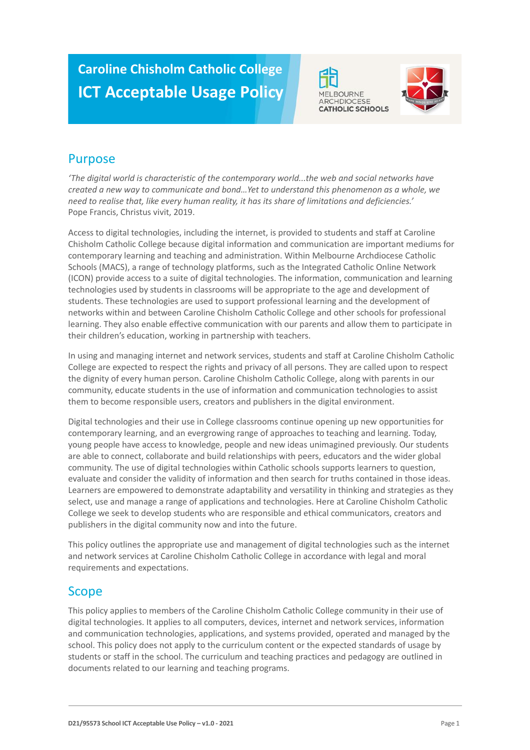# **Caroline Chisholm Catholic College ICT Acceptable Usage Policy**





# Purpose

*'The digital world is characteristic of the contemporary world...the web and social networks have created a new way to communicate and bond…Yet to understand this phenomenon as a whole, we need to realise that, like every human reality, it has its share of limitations and deficiencies.'* Pope Francis, Christus vivit, 2019.

Access to digital technologies, including the internet, is provided to students and staff at Caroline Chisholm Catholic College because digital information and communication are important mediums for contemporary learning and teaching and administration. Within Melbourne Archdiocese Catholic Schools (MACS), a range of technology platforms, such as the Integrated Catholic Online Network (ICON) provide access to a suite of digital technologies. The information, communication and learning technologies used by students in classrooms will be appropriate to the age and development of students. These technologies are used to support professional learning and the development of networks within and between Caroline Chisholm Catholic College and other schools for professional learning. They also enable effective communication with our parents and allow them to participate in their children's education, working in partnership with teachers.

In using and managing internet and network services, students and staff at Caroline Chisholm Catholic College are expected to respect the rights and privacy of all persons. They are called upon to respect the dignity of every human person. Caroline Chisholm Catholic College, along with parents in our community, educate students in the use of information and communication technologies to assist them to become responsible users, creators and publishers in the digital environment.

Digital technologies and their use in College classrooms continue opening up new opportunities for contemporary learning, and an evergrowing range of approaches to teaching and learning. Today, young people have access to knowledge, people and new ideas unimagined previously. Our students are able to connect, collaborate and build relationships with peers, educators and the wider global community. The use of digital technologies within Catholic schools supports learners to question, evaluate and consider the validity of information and then search for truths contained in those ideas. Learners are empowered to demonstrate adaptability and versatility in thinking and strategies as they select, use and manage a range of applications and technologies. Here at Caroline Chisholm Catholic College we seek to develop students who are responsible and ethical communicators, creators and publishers in the digital community now and into the future.

This policy outlines the appropriate use and management of digital technologies such as the internet and network services at Caroline Chisholm Catholic College in accordance with legal and moral requirements and expectations.

### Scope

This policy applies to members of the Caroline Chisholm Catholic College community in their use of digital technologies. It applies to all computers, devices, internet and network services, information and communication technologies, applications, and systems provided, operated and managed by the school. This policy does not apply to the curriculum content or the expected standards of usage by students or staff in the school. The curriculum and teaching practices and pedagogy are outlined in documents related to our learning and teaching programs.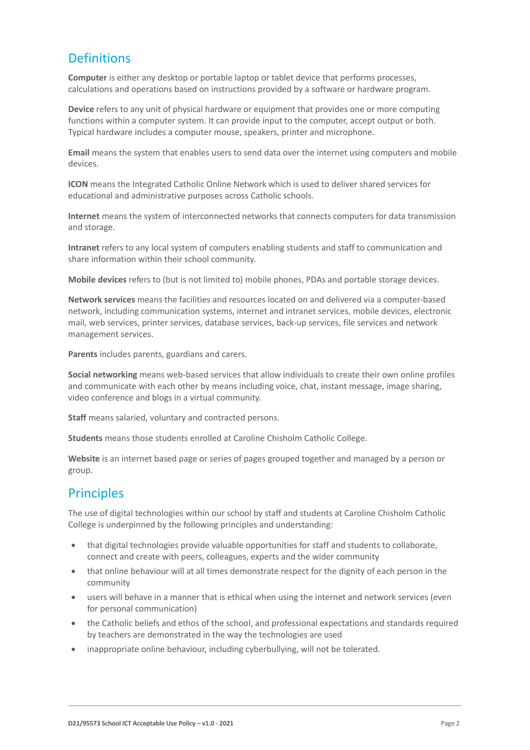# **Definitions**

**Computer** is either any desktop or portable laptop or tablet device that performs processes, calculations and operations based on instructions provided by a software or hardware program.

**Device** refers to any unit of physical hardware or equipment that provides one or more computing functions within a computer system. It can provide input to the computer, accept output or both. Typical hardware includes a computer mouse, speakers, printer and microphone.

**Email** means the system that enables users to send data over the internet using computers and mobile devices.

**ICON** means the Integrated Catholic Online Network which is used to deliver shared services for educational and administrative purposes across Catholic schools.

**Internet** means the system of interconnected networks that connects computers for data transmission and storage.

**Intranet** refers to any local system of computers enabling students and staff to communication and share information within their school community.

**Mobile devices** refers to (but is not limited to) mobile phones, PDAs and portable storage devices.

**Network services** means the facilities and resources located on and delivered via a computer-based network, including communication systems, internet and intranet services, mobile devices, electronic mail, web services, printer services, database services, back-up services, file services and network management services.

**Parents** includes parents, guardians and carers.

**Social networking** means web-based services that allow individuals to create their own online profiles and communicate with each other by means including voice, chat, instant message, image sharing, video conference and blogs in a virtual community.

**Staff** means salaried, voluntary and contracted persons.

**Students** means those students enrolled at Caroline Chisholm Catholic College.

**Website** is an internet based page or series of pages grouped together and managed by a person or group.

### **Principles**

The use of digital technologies within our school by staff and students at Caroline Chisholm Catholic College is underpinned by the following principles and understanding:

- that digital technologies provide valuable opportunities for staff and students to collaborate, connect and create with peers, colleagues, experts and the wider community
- that online behaviour will at all times demonstrate respect for the dignity of each person in the community
- users will behave in a manner that is ethical when using the internet and network services (even for personal communication)
- the Catholic beliefs and ethos of the school, and professional expectations and standards required by teachers are demonstrated in the way the technologies are used
- inappropriate online behaviour, including cyberbullying, will not be tolerated.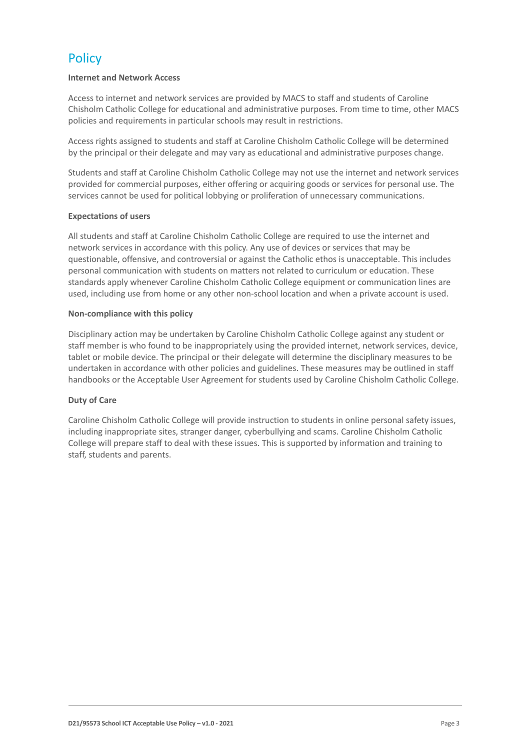# **Policy**

#### **Internet and Network Access**

Access to internet and network services are provided by MACS to staff and students of Caroline Chisholm Catholic College for educational and administrative purposes. From time to time, other MACS policies and requirements in particular schools may result in restrictions.

Access rights assigned to students and staff at Caroline Chisholm Catholic College will be determined by the principal or their delegate and may vary as educational and administrative purposes change.

Students and staff at Caroline Chisholm Catholic College may not use the internet and network services provided for commercial purposes, either offering or acquiring goods or services for personal use. The services cannot be used for political lobbying or proliferation of unnecessary communications.

#### **Expectations of users**

All students and staff at Caroline Chisholm Catholic College are required to use the internet and network services in accordance with this policy. Any use of devices or services that may be questionable, offensive, and controversial or against the Catholic ethos is unacceptable. This includes personal communication with students on matters not related to curriculum or education. These standards apply whenever Caroline Chisholm Catholic College equipment or communication lines are used, including use from home or any other non-school location and when a private account is used.

#### **Non-compliance with this policy**

Disciplinary action may be undertaken by Caroline Chisholm Catholic College against any student or staff member is who found to be inappropriately using the provided internet, network services, device, tablet or mobile device. The principal or their delegate will determine the disciplinary measures to be undertaken in accordance with other policies and guidelines. These measures may be outlined in staff handbooks or the Acceptable User Agreement for students used by Caroline Chisholm Catholic College.

#### **Duty of Care**

Caroline Chisholm Catholic College will provide instruction to students in online personal safety issues, including inappropriate sites, stranger danger, cyberbullying and scams. Caroline Chisholm Catholic College will prepare staff to deal with these issues. This is supported by information and training to staff, students and parents.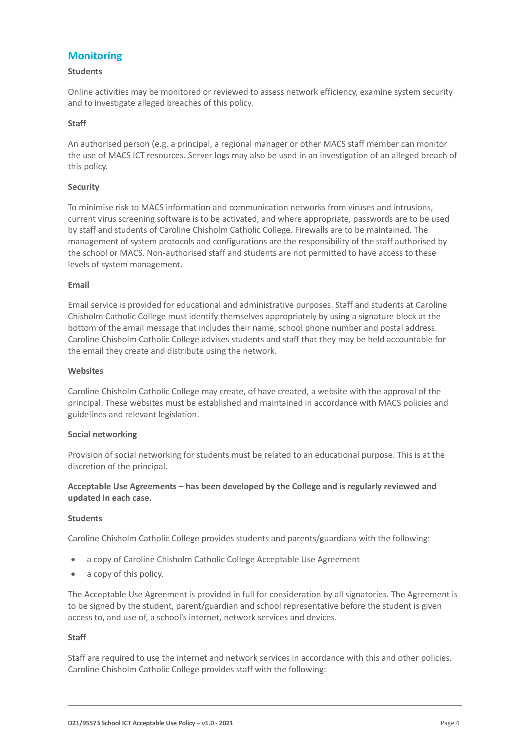### **Monitoring**

#### **Students**

Online activities may be monitored or reviewed to assess network efficiency, examine system security and to investigate alleged breaches of this policy.

#### **Staff**

An authorised person (e.g. a principal, a regional manager or other MACS staff member can monitor the use of MACS ICT resources. Server logs may also be used in an investigation of an alleged breach of this policy.

#### **Security**

To minimise risk to MACS information and communication networks from viruses and intrusions, current virus screening software is to be activated, and where appropriate, passwords are to be used by staff and students of Caroline Chisholm Catholic College. Firewalls are to be maintained. The management of system protocols and configurations are the responsibility of the staff authorised by the school or MACS. Non-authorised staff and students are not permitted to have access to these levels of system management.

#### **Email**

Email service is provided for educational and administrative purposes. Staff and students at Caroline Chisholm Catholic College must identify themselves appropriately by using a signature block at the bottom of the email message that includes their name, school phone number and postal address. Caroline Chisholm Catholic College advises students and staff that they may be held accountable for the email they create and distribute using the network.

#### **Websites**

Caroline Chisholm Catholic College may create, of have created, a website with the approval of the principal. These websites must be established and maintained in accordance with MACS policies and guidelines and relevant legislation.

#### **Social networking**

Provision of social networking for students must be related to an educational purpose. This is at the discretion of the principal.

#### **Acceptable Use Agreements – has been developed by the College and is regularly reviewed and updated in each case.**

#### **Students**

Caroline Chisholm Catholic College provides students and parents/guardians with the following:

- a copy of Caroline Chisholm Catholic College Acceptable Use Agreement
- a copy of this policy.

The Acceptable Use Agreement is provided in full for consideration by all signatories. The Agreement is to be signed by the student, parent/guardian and school representative before the student is given access to, and use of, a school's internet, network services and devices.

#### **Staff**

Staff are required to use the internet and network services in accordance with this and other policies. Caroline Chisholm Catholic College provides staff with the following: